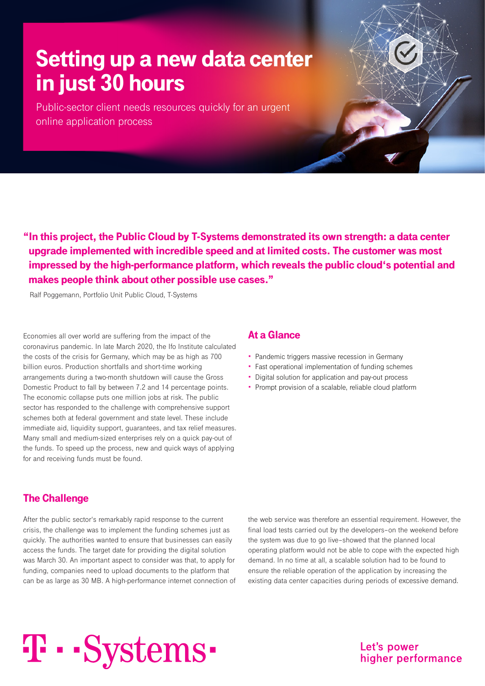## Setting up a new data center in just 30 hours

Public-sector client needs resources quickly for an urgent online application process

"In this project, the Public Cloud by T-Systems demonstrated its own strength: a data center upgrade implemented with incredible speed and at limited costs. The customer was most impressed by the high-performance platform, which reveals the public cloud's potential and makes people think about other possible use cases."

Ralf Poggemann, Portfolio Unit Public Cloud, T-Systems

Economies all over world are suffering from the impact of the coronavirus pandemic. In late March 2020, the Ifo Institute calculated the costs of the crisis for Germany, which may be as high as 700 billion euros. Production shortfalls and short-time working arrangements during a two-month shutdown will cause the Gross Domestic Product to fall by between 7.2 and 14 percentage points. The economic collapse puts one million jobs at risk. The public sector has responded to the challenge with comprehensive support schemes both at federal government and state level. These include immediate aid, liquidity support, guarantees, and tax relief measures. Many small and medium-sized enterprises rely on a quick pay-out of the funds. To speed up the process, new and quick ways of applying for and receiving funds must be found.

### At a Glance

- Pandemic triggers massive recession in Germany
- Fast operational implementation of funding schemes
- Digital solution for application and pay-out process
- Prompt provision of a scalable, reliable cloud platform

### The Challenge

After the public sector's remarkably rapid response to the current crisis, the challenge was to implement the funding schemes just as quickly. The authorities wanted to ensure that businesses can easily access the funds. The target date for providing the digital solution was March 30. An important aspect to consider was that, to apply for funding, companies need to upload documents to the platform that can be as large as 30 MB. A high-performance internet connection of the web service was therefore an essential requirement. However, the final load tests carried out by the developers–on the weekend before the system was due to go live–showed that the planned local operating platform would not be able to cope with the expected high demand. In no time at all, a scalable solution had to be found to ensure the reliable operation of the application by increasing the existing data center capacities during periods of excessive demand.

# T · · Systems ·

Let's power higher performance